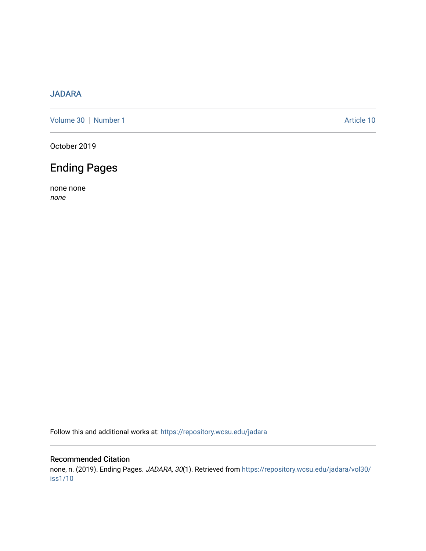#### [JADARA](https://repository.wcsu.edu/jadara)

[Volume 30](https://repository.wcsu.edu/jadara/vol30) | [Number 1](https://repository.wcsu.edu/jadara/vol30/iss1) Article 10

October 2019

## Ending Pages

none none none

Follow this and additional works at: [https://repository.wcsu.edu/jadara](https://repository.wcsu.edu/jadara?utm_source=repository.wcsu.edu%2Fjadara%2Fvol30%2Fiss1%2F10&utm_medium=PDF&utm_campaign=PDFCoverPages)

#### Recommended Citation

none, n. (2019). Ending Pages. JADARA, 30(1). Retrieved from [https://repository.wcsu.edu/jadara/vol30/](https://repository.wcsu.edu/jadara/vol30/iss1/10?utm_source=repository.wcsu.edu%2Fjadara%2Fvol30%2Fiss1%2F10&utm_medium=PDF&utm_campaign=PDFCoverPages) [iss1/10](https://repository.wcsu.edu/jadara/vol30/iss1/10?utm_source=repository.wcsu.edu%2Fjadara%2Fvol30%2Fiss1%2F10&utm_medium=PDF&utm_campaign=PDFCoverPages)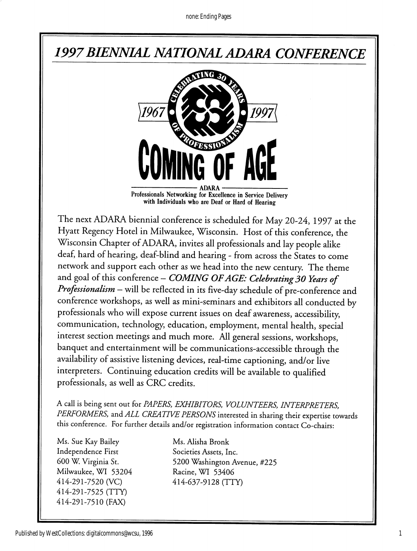## 1997BIENNIAL NATIONAL ADARA CONFERENCE



Professionals Networking for Excellence in Service Delivery with Individuals who are Deaf or Hard of Hearing

The next ADARA biennial conference is scheduled for May 20-24, 1997 at the Hyatt Regency Hotel in Milwaukee, Wisconsin. Host of this conference, the Wisconsin Chapter of ADARA, invites all professionals and lay people alike deaf, hard of hearing, deaf-blind and hearing - from across the States to come network and support each other as we head into the new century. The theme and goal of this conference - COMING OF AGE: Celebrating 30 Years of Professionalism - will be reflected in its five-day schedule of pre-conference and conference workshops, as well as mini-seminars and exhibitors all conducted by professionals who will expose current issues on deaf awareness, accessibility, communication, technology, education, employment, mental health, special interest section meetings and much more. All general sessions, workshops, banquet and entertainment will be communications-accessible through the availability of assistive listening devices, real-time captioning, and/or live interpreters. Continuing education credits will be available to qualified professionals, as well as CRC credits.

A call is being sent out for PAPERS, EXHIBITORS, VOLUNTEERS, INTERPRETERS, PERFORMERS, and ALL CREATIVE PERSONS interested in sharing their expertise towards this conference. For further details and/or registration information contact Co-chairs:

Ms. Sue Kay Bailey Ms. Alisha Bronk Independence First Societies Assets, Inc. Milwaukee, WI 53204 Racine, WI 53406 414-291 -7520 (VC) 414-637-9128 (TTY) 414-291-7525 (TTY) 414-291-7510 (FAX)

600 W. Virginia St. 5200 Washington Avenue, #225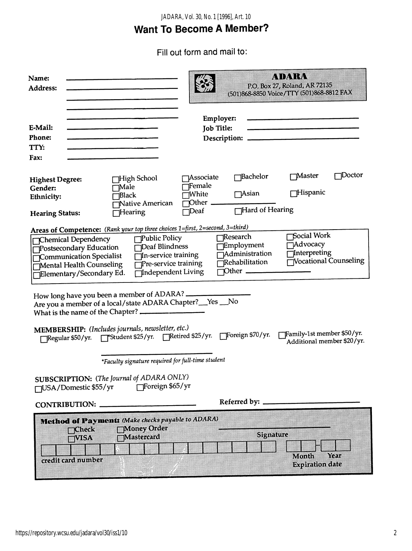### *JADARA, Vol. 30, No. 1 [1996], Art. 10*

## Want To Become A Member?

Fill out form and mail to:

| <b>Name:</b><br><b>Address:</b>                                                                                                                                                                                                                                                                                                    | <u>kvivar</u><br>P.O. Box 27, Roland, AR 72135<br>(501)868-8850 Voice/TTY (501)868-8812 FAX                                                                             |
|------------------------------------------------------------------------------------------------------------------------------------------------------------------------------------------------------------------------------------------------------------------------------------------------------------------------------------|-------------------------------------------------------------------------------------------------------------------------------------------------------------------------|
| E-Mail:<br><b>Phone:</b><br>TTY:<br>Fax:                                                                                                                                                                                                                                                                                           | Employer:<br><b>Job Title:</b>                                                                                                                                          |
| <b>High School</b><br><b>Highest Degree:</b><br>√Male<br>Gender:<br><b>Black</b><br>Ethnicity:<br>Native American<br>Hearing<br><b>Hearing Status:</b>                                                                                                                                                                             | 1Doctor<br>√Master<br>$\Box$ Bachelor<br><b>Associate</b><br>Female<br>$\Box$ Hispanic<br>$\bigcap$ Asian<br>¶White<br>$Other$ $\_\_$<br>Hard of Hearing<br>$\neg$ Deaf |
| Areas of Competence: (Rank your top three choices 1=first, 2=second, 3=third)<br><b>Public Policy</b><br>Chemical Dependency<br>Deaf Blindness<br>Postsecondary Education<br>In-service training<br>Communication Specialist<br>Pre-service training<br>Mental Health Counseling<br>Independent Living<br>Elementary/Secondary Ed. | Social Work<br>Research<br>Advocacy<br><b>Employment</b><br>Interpreting<br>$\overline{\Box}$ Administration<br>Vocational Counseling<br>Rehabilitation                 |
| How long have you been a member of ADARA?<br>Are you a member of a local/state ADARA Chapter?__Yes __No<br>MEMBERSHIP: (Includes journals, newsletter, etc.)<br>Family-1st member \$50/yr.<br>Foreign \$70/yr. Retired \$25/yr. Foreign \$70/yr.<br>Regular \$50/yr.<br>Additional member \$20/yr.                                 |                                                                                                                                                                         |
| *Faculty signature required for full-time student<br><b>SUBSCRIPTION:</b> (The Journal of ADARA ONLY)<br>Foreign \$65/yr<br>□USA/Domestic \$55/yr<br>Referred by: _                                                                                                                                                                |                                                                                                                                                                         |
| <b>CONTRIBUTION:</b>                                                                                                                                                                                                                                                                                                               |                                                                                                                                                                         |
| Method of Payments (Make checks payable to ADARA)<br>Money Order<br>mCheck<br>Signature<br>Mastercard<br>=visa<br>Month<br>Year<br>credit card number<br><b>Expiration date</b>                                                                                                                                                    |                                                                                                                                                                         |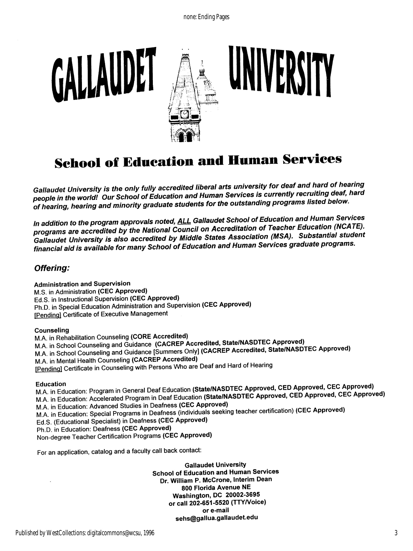

## **School of Education and Human Services**

Gallaudet University is the only fully accredited liberal arts university for deaf and hard of hearing people in the world! Our School of Education and Human Services is currently recruiting deaf, hard of hearing, hearing and minority graduate students for the outstanding programs listed below.

In addition to the program approvals noted, **ALL Gallaudet School of Education and Human Services** programs are accredited by the National Council on Accreditation of Teacher Education (NCATE). Gallaudet University is also accredited by Middle States Association (MSA). Substantial student financial aid is available for many School of Education and Human Services graduate programs.

#### Offering:

Administration and Supervision M.S. In Administration (CEC Approved) Ed.S. in Instructional Supervision (CEC Approved) Ph.D. in Special Education Administration and Supervision (CEC Approved) [Pending] Certificate of Executive Management

#### Counseling

M.A. in Rehabilitation Counseling (CORE Accredited) M.A. in School Counseling and Guidance (CACREP Accredited, State/NASDTEC Approved) M.A. in School Counseling and Guidance [Summers Only] (CACREP Accredited, State/NASDTEC Approved) M.A. in Mental Health Counseling (CACREP Accredited) fPendinal Certificate in Counseling with Persons Who are Deaf and Hard of Hearing

Education<br>M.A. in Education: Program in General Deaf Education (State/NASDTEC Approved, CED Approved, CEC Approved) M.A. in Education: Accelerated Program in Deaf Education (State/NASDTEC Approved, CED Approved, CEC Approved) M.A. in Education: Advanced Studies in Deafness (CEC Approved) M.A. in Education; Special Programs in Deafness (individuals seeking teacher certification) (CEC Approved) Ed.S. (Educational Specialist) in Deafness (CEC Approved) Ph.D. in Education; Deafness (CEC Approved) Non-degree Teacher Certification Programs (CEC Approved)

For an application, catalog and a faculty call back contact;

Gallaudet University School of Education and Human Services Dr. William P. McCrone, Interim Dean 800 Florida Avenue NE Washington, DC 20002-3695 or call 202-651-5520 (TTY/Voice) or e-mail sehs@gallua.gallaudet.edu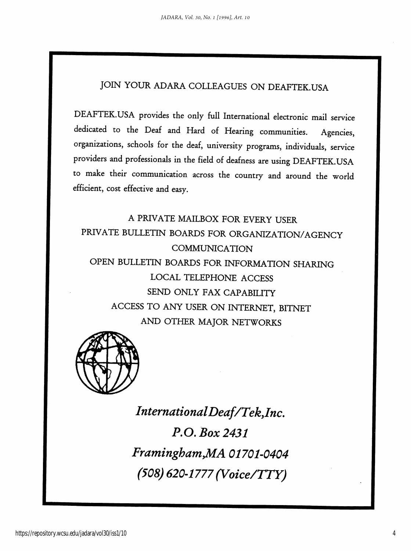## JOIN YOUR ADARA COLLEAGUES ON DEAFTEK.USA

DEAFTEK.USA provides the only full International electronic mail service dedicated to the Deaf and Hard of Hearing communities. Agencies, organizations, schools for the deaf, university programs, individuals, service providers and professionals in the field of deafness are using DEAFTEK.USA to make their communication across the country and around the world efficient, cost effective and easy.

A PRIVATE MAILBOX FOR EVERY USER PRIVATE BULLETIN BOARDS FOR ORGANIZATION/AGENCY COMMUNICATION OPEN BULLETIN BOARDS FOR INFORMATION SHARING LOCAL TELEPHONE ACCESS SEND ONLY FAX CAPABILITY ACCESS TO ANY USER ON INTERNET, BITNET AND OTHER MAJOR NETWORKS



IntemationalDeaf/Tek,Inc. P.O. Box 2431 Framingham, MA 01701-0404 (508) 620-1777 (Voice/TTY)